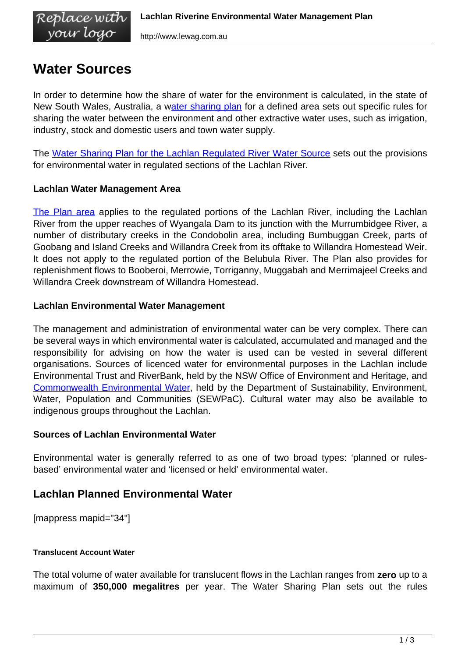# **Water Sources**

vour logo

In order to determine how the share of water for the environment is calculated, in the state of New South Wales, Australia, a [water sharing plan](http://www.water.nsw.gov.au/Water-management/Water-sharing-plans/how-water-sharing-plans-work/default.aspx) for a defined area sets out specific rules for sharing the water between the environment and other extractive water uses, such as irrigation, industry, stock and domestic users and town water supply.

The [Water Sharing Plan for the Lachlan Regulated River Water Source](http://www.austlii.edu.au/au/legis/nsw/consol_reg/wspftlrrws2003568/index.html) sets out the provisions for environmental water in regulated sections of the Lachlan River.

# **Lachlan Water Management Area**

[The Plan area](http://www.austlii.edu.au/au/legis/nsw/consol_reg/wspftlrrws2003568/sch982.html/) applies to the regulated portions of the Lachlan River, including the Lachlan River from the upper reaches of Wyangala Dam to its junction with the Murrumbidgee River, a number of distributary creeks in the Condobolin area, including Bumbuggan Creek, parts of Goobang and Island Creeks and Willandra Creek from its offtake to Willandra Homestead Weir. It does not apply to the regulated portion of the Belubula River. The Plan also provides for replenishment flows to Booberoi, Merrowie, Torriganny, Muggabah and Merrimajeel Creeks and Willandra Creek downstream of Willandra Homestead.

## **Lachlan Environmental Water Management**

The management and administration of environmental water can be very complex. There can be several ways in which environmental water is calculated, accumulated and managed and the responsibility for advising on how the water is used can be vested in several different organisations. Sources of licenced water for environmental purposes in the Lachlan include Environmental Trust and RiverBank, held by the NSW Office of Environment and Heritage, and [Commonwealth Environmental Water,](http://www.environment.gov.au/ewater/about/index.html) held by the Department of Sustainability, Environment, Water, Population and Communities (SEWPaC). Cultural water may also be available to indigenous groups throughout the Lachlan.

# **Sources of Lachlan Environmental Water**

Environmental water is generally referred to as one of two broad types: 'planned or rulesbased' environmental water and 'licensed or held' environmental water.

# **Lachlan Planned Environmental Water**

[mappress mapid="34"]

#### **Translucent Account Water**

The total volume of water available for translucent flows in the Lachlan ranges from **zero** up to a maximum of **350,000 megalitres** per year. The Water Sharing Plan sets out the rules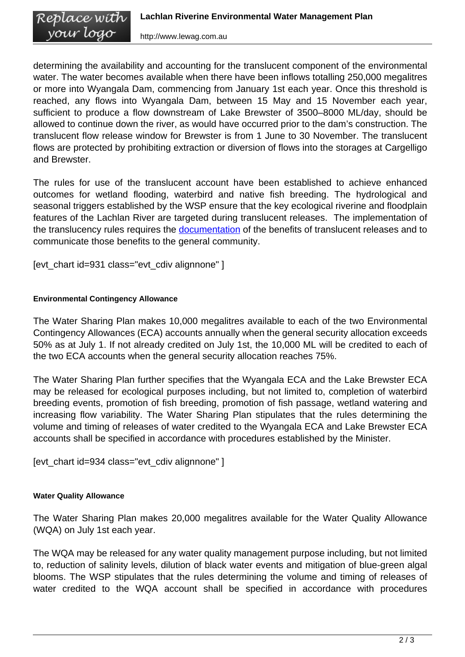<span id="page-1-0"></span>determining the availability and accounting for the translucent component of the environmental water. The water becomes available when there have been inflows totalling 250,000 megalitres or more into Wyangala Dam, commencing from January 1st each year. Once this threshold is reached, any flows into Wyangala Dam, between 15 May and 15 November each year, sufficient to produce a flow downstream of Lake Brewster of 3500–8000 ML/day, should be allowed to continue down the river, as would have occurred prior to the dam's construction. The translucent flow release window for Brewster is from 1 June to 30 November. The translucent flows are protected by prohibiting extraction or diversion of flows into the storages at Cargelligo and Brewster.

The rules for use of the translucent account have been established to achieve enhanced outcomes for wetland flooding, waterbird and native fish breeding. The hydrological and seasonal triggers established by the WSP ensure that the key ecological riverine and floodplain features of the Lachlan River are targeted during translucent releases. The implementation of the translucency rules requires the **documentation** of the benefits of translucent releases and to communicate those benefits to the general community.

[evt\_chart id=931 class="evt\_cdiv alignnone" ]

## **Environmental Contingency Allowance**

The Water Sharing Plan makes 10,000 megalitres available to each of the two Environmental Contingency Allowances (ECA) accounts annually when the general security allocation exceeds 50% as at July 1. If not already credited on July 1st, the 10,000 ML will be credited to each of the two ECA accounts when the general security allocation reaches 75%.

The Water Sharing Plan further specifies that the Wyangala ECA and the Lake Brewster ECA may be released for ecological purposes including, but not limited to, completion of waterbird breeding events, promotion of fish breeding, promotion of fish passage, wetland watering and increasing flow variability. The Water Sharing Plan stipulates that the rules determining the volume and timing of releases of water credited to the Wyangala ECA and Lake Brewster ECA accounts shall be specified in accordance with procedures established by the Minister.

[evt\_chart id=934 class="evt\_cdiv alignnone" ]

#### **Water Quality Allowance**

The Water Sharing Plan makes 20,000 megalitres available for the Water Quality Allowance (WQA) on July 1st each year.

The WQA may be released for any water quality management purpose including, but not limited to, reduction of salinity levels, dilution of black water events and mitigation of blue-green algal blooms. The WSP stipulates that the rules determining the volume and timing of releases of water credited to the WQA account shall be specified in accordance with procedures